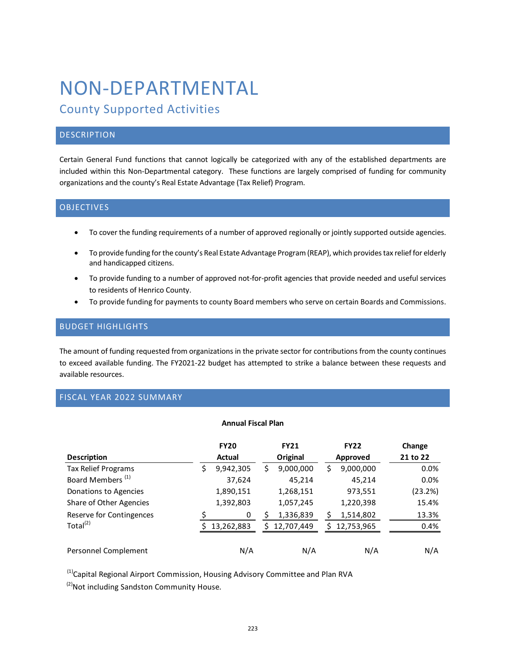# NON-DEPARTMENTAL

# County Supported Activities

# **DESCRIPTION**

Certain General Fund functions that cannot logically be categorized with any of the established departments are included within this Non-Departmental category. These functions are largely comprised of funding for community organizations and the county's Real Estate Advantage (Tax Relief) Program.

# **OBJECTIVES**

- To cover the funding requirements of a number of approved regionally or jointly supported outside agencies.
- To provide funding for the county's Real Estate Advantage Program (REAP), which provides tax relief for elderly and handicapped citizens.
- To provide funding to a number of approved not-for-profit agencies that provide needed and useful services to residents of Henrico County.
- To provide funding for payments to county Board members who serve on certain Boards and Commissions.

### BUDGET HIGHLIGHTS

The amount of funding requested from organizations in the private sector for contributions from the county continues to exceed available funding. The FY2021-22 budget has attempted to strike a balance between these requests and available resources.

# FISCAL YEAR 2022 SUMMARY

#### **Annual Fiscal Plan**

| <b>Description</b>           |   | <b>FY20</b><br>Actual |    | <b>FY21</b><br>Original |    | <b>FY22</b><br>Approved | Change<br>21 to 22 |
|------------------------------|---|-----------------------|----|-------------------------|----|-------------------------|--------------------|
| Tax Relief Programs          | S | 9,942,305             | \$ | 9,000,000               | \$ | 9,000,000               | 0.0%               |
| Board Members <sup>(1)</sup> |   | 37,624                |    | 45,214                  |    | 45,214                  | 0.0%               |
| Donations to Agencies        |   | 1,890,151             |    | 1,268,151               |    | 973,551                 | (23.2%)            |
| Share of Other Agencies      |   | 1,392,803             |    | 1,057,245               |    | 1,220,398               | 15.4%              |
| Reserve for Contingences     |   | 0                     |    | 1,336,839               |    | 1,514,802               | 13.3%              |
| Total $^{(2)}$               |   | 13,262,883            | ς  | 12,707,449              | ς  | 12,753,965              | 0.4%               |
| Personnel Complement         |   | N/A                   |    | N/A                     |    | N/A                     | N/A                |

<sup>(1)</sup>Capital Regional Airport Commission, Housing Advisory Committee and Plan RVA

<sup>(2)</sup>Not including Sandston Community House.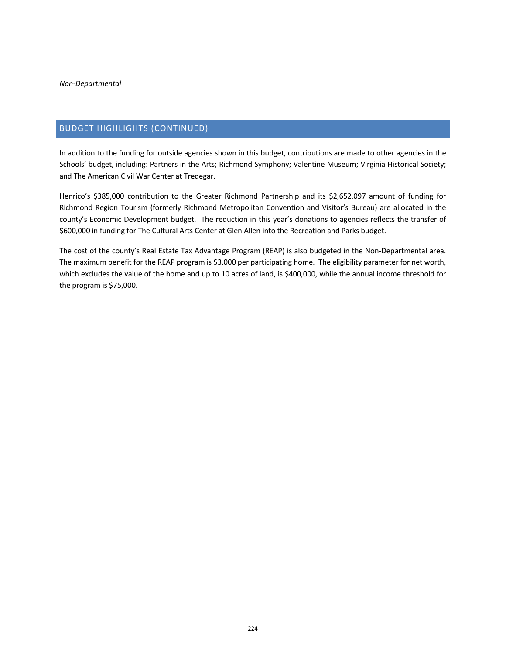# BUDGET HIGHLIGHTS (CONTINUED)

In addition to the funding for outside agencies shown in this budget, contributions are made to other agencies in the Schools' budget, including: Partners in the Arts; Richmond Symphony; Valentine Museum; Virginia Historical Society; and The American Civil War Center at Tredegar.

Henrico's \$385,000 contribution to the Greater Richmond Partnership and its \$2,652,097 amount of funding for Richmond Region Tourism (formerly Richmond Metropolitan Convention and Visitor's Bureau) are allocated in the county's Economic Development budget. The reduction in this year's donations to agencies reflects the transfer of \$600,000 in funding for The Cultural Arts Center at Glen Allen into the Recreation and Parks budget.

The cost of the county's Real Estate Tax Advantage Program (REAP) is also budgeted in the Non-Departmental area. The maximum benefit for the REAP program is \$3,000 per participating home. The eligibility parameter for net worth, which excludes the value of the home and up to 10 acres of land, is \$400,000, while the annual income threshold for the program is \$75,000.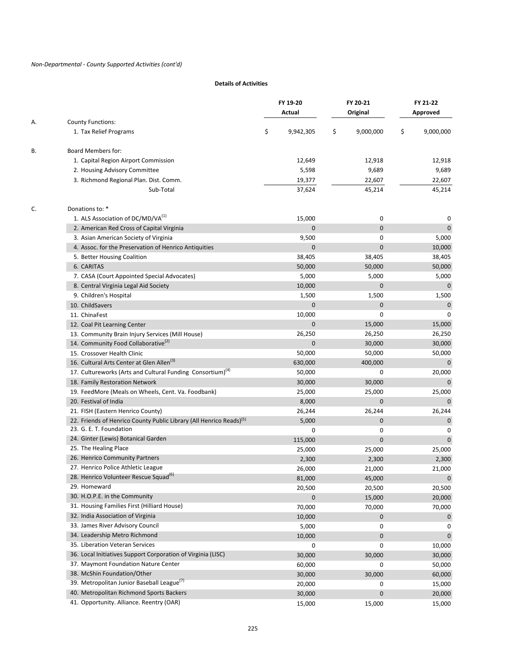#### **Details of Activities**

|    |                                                                                 | FY 19-20        | FY 20-21        | FY 21-22        |
|----|---------------------------------------------------------------------------------|-----------------|-----------------|-----------------|
|    |                                                                                 | Actual          | Original        | Approved        |
| А. | <b>County Functions:</b>                                                        |                 |                 |                 |
|    | 1. Tax Relief Programs                                                          | \$<br>9,942,305 | \$<br>9,000,000 | \$<br>9,000,000 |
| В. | <b>Board Members for:</b>                                                       |                 |                 |                 |
|    | 1. Capital Region Airport Commission                                            | 12,649          | 12,918          | 12,918          |
|    | 2. Housing Advisory Committee                                                   | 5,598           | 9,689           | 9,689           |
|    | 3. Richmond Regional Plan. Dist. Comm.                                          | 19,377          | 22,607          | 22,607          |
|    | Sub-Total                                                                       | 37,624          | 45,214          | 45,214          |
| C. | Donations to: *                                                                 |                 |                 |                 |
|    | 1. ALS Association of DC/MD/VA(1)                                               | 15,000          | 0               | 0               |
|    | 2. American Red Cross of Capital Virginia                                       | 0               | $\mathbf 0$     | 0               |
|    | 3. Asian American Society of Virginia                                           | 9,500           | 0               | 5,000           |
|    | 4. Assoc. for the Preservation of Henrico Antiquities                           | $\mathbf 0$     | 0               | 10,000          |
|    | 5. Better Housing Coalition                                                     | 38,405          | 38,405          | 38,405          |
|    | 6. CARITAS                                                                      | 50,000          | 50,000          | 50,000          |
|    | 7. CASA (Court Appointed Special Advocates)                                     | 5,000           | 5,000           | 5,000           |
|    | 8. Central Virginia Legal Aid Society                                           | 10,000          | 0               | $\mathbf 0$     |
|    | 9. Children's Hospital                                                          | 1,500           | 1,500           | 1,500           |
|    | 10. ChildSavers                                                                 | $\mathbf 0$     | 0               | $\pmb{0}$       |
|    | 11. ChinaFest                                                                   | 10,000          | 0               | 0               |
|    | 12. Coal Pit Learning Center                                                    | $\mathbf 0$     | 15,000          | 15,000          |
|    | 13. Community Brain Injury Services (Mill House)                                | 26,250          | 26,250          | 26,250          |
|    | 14. Community Food Collaborative <sup>(2)</sup>                                 | $\mathbf 0$     | 30,000          | 30,000          |
|    | 15. Crossover Health Clinic                                                     | 50,000          | 50,000          | 50,000          |
|    | 16. Cultural Arts Center at Glen Allen <sup>(3)</sup>                           | 630,000         | 400,000         | $\mathbf 0$     |
|    | 17. Cultureworks (Arts and Cultural Funding Consortium) <sup>(4)</sup>          | 50,000          | 0               | 20,000          |
|    | 18. Family Restoration Network                                                  | 30,000          | 30,000          | $\mathbf 0$     |
|    | 19. FeedMore (Meals on Wheels, Cent. Va. Foodbank)                              | 25,000          | 25,000          | 25,000          |
|    | 20. Festival of India                                                           | 8,000           | 0               | $\Omega$        |
|    | 21. FISH (Eastern Henrico County)                                               | 26,244          | 26,244          | 26,244          |
|    | 22. Friends of Henrico County Public Library (All Henrico Reads) <sup>(5)</sup> | 5,000           | 0               | $\mathbf{0}$    |
|    | 23. G. E. T. Foundation                                                         | 0               | 0               | 0               |
|    | 24. Ginter (Lewis) Botanical Garden                                             | 115,000         | 0               | $\mathbf 0$     |
|    | 25. The Healing Place                                                           | 25,000          | 25,000          | 25,000          |
|    | 26. Henrico Community Partners                                                  | 2,300           | 2,300           | 2,300           |
|    | 27. Henrico Police Athletic League                                              | 26,000          | 21,000          | 21,000          |
|    | 28. Henrico Volunteer Rescue Squad <sup>(6)</sup>                               | 81,000          | 45,000          | $\pmb{0}$       |
|    | 29. Homeward                                                                    | 20,500          | 20,500          | 20,500          |
|    | 30. H.O.P.E. in the Community                                                   | 0               | 15,000          | 20,000          |
|    | 31. Housing Families First (Hilliard House)                                     |                 |                 |                 |
|    | 32. India Association of Virginia                                               | 70,000          | 70,000          | 70,000          |
|    | 33. James River Advisory Council                                                | 10,000          | 0               | 0               |
|    | 34. Leadership Metro Richmond                                                   | 5,000           | 0               | 0               |
|    | 35. Liberation Veteran Services                                                 | 10,000          | 0               | $\pmb{0}$       |
|    | 36. Local Initiatives Support Corporation of Virginia (LISC)                    | 0               | 0               | 10,000          |
|    | 37. Maymont Foundation Nature Center                                            | 30,000          | 30,000          | 30,000          |
|    | 38. McShin Foundation/Other                                                     | 60,000          | 0               | 50,000          |
|    | 39. Metropolitan Junior Baseball League <sup>(7)</sup>                          | 30,000          | 30,000          | 60,000          |
|    |                                                                                 | 20,000          | 0               | 15,000          |
|    | 40. Metropolitan Richmond Sports Backers                                        | 30,000          | 0               | 20,000          |
|    | 41. Opportunity. Alliance. Reentry (OAR)                                        | 15,000          | 15,000          | 15,000          |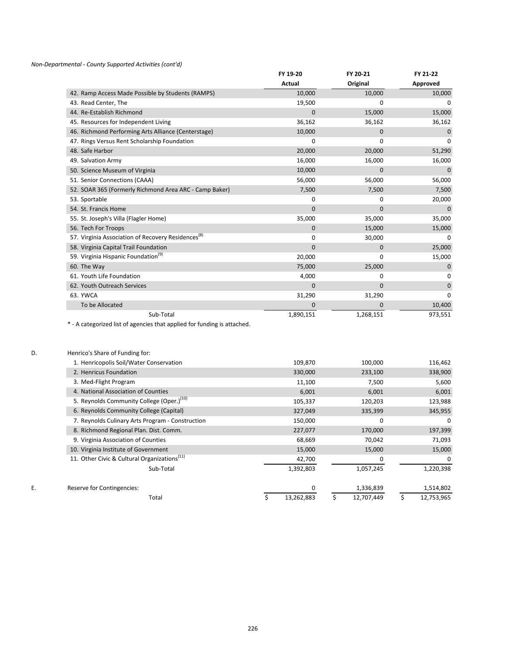#### *Non-Departmental - County Supported Activities (cont'd)*

|                                                                | FY 19-20      | FY 20-21  | FY 21-22 |
|----------------------------------------------------------------|---------------|-----------|----------|
|                                                                | <b>Actual</b> | Original  | Approved |
| 42. Ramp Access Made Possible by Students (RAMPS)              | 10,000        | 10,000    | 10,000   |
| 43. Read Center, The                                           | 19,500        | 0         | 0        |
| 44. Re-Establish Richmond                                      | $\mathbf 0$   | 15,000    | 15,000   |
| 45. Resources for Independent Living                           | 36,162        | 36,162    | 36,162   |
| 46. Richmond Performing Arts Alliance (Centerstage)            | 10,000        | 0         | $\Omega$ |
| 47. Rings Versus Rent Scholarship Foundation                   | 0             | 0         | 0        |
| 48. Safe Harbor                                                | 20,000        | 20,000    | 51,290   |
| 49. Salvation Army                                             | 16,000        | 16,000    | 16,000   |
| 50. Science Museum of Virginia                                 | 10,000        | 0         | 0        |
| 51. Senior Connections (CAAA)                                  | 56,000        | 56,000    | 56,000   |
| 52. SOAR 365 (Formerly Richmond Area ARC - Camp Baker)         | 7,500         | 7,500     | 7,500    |
| 53. Sportable                                                  | 0             | 0         | 20,000   |
| 54. St. Francis Home                                           | $\mathbf{0}$  | 0         | $\Omega$ |
| 55. St. Joseph's Villa (Flagler Home)                          | 35,000        | 35,000    | 35,000   |
| 56. Tech For Troops                                            | $\mathbf{0}$  | 15,000    | 15,000   |
| 57. Virginia Association of Recovery Residences <sup>(8)</sup> | 0             | 30,000    | 0        |
| 58. Virginia Capital Trail Foundation                          | $\Omega$      | $\Omega$  | 25,000   |
| 59. Virginia Hispanic Foundation <sup>(9)</sup>                | 20,000        | 0         | 15,000   |
| 60. The Way                                                    | 75,000        | 25,000    | 0        |
| 61. Youth Life Foundation                                      | 4,000         | 0         | 0        |
| 62. Youth Outreach Services                                    | $\mathbf{0}$  | 0         | 0        |
| 63. YWCA                                                       | 31,290        | 31,290    | 0        |
| To be Allocated                                                | 0             | 0         | 10,400   |
| Sub-Total                                                      | 1,890,151     | 1,268,151 | 973,551  |

\* - A categorized list of agencies that applied for funding is attached.

| D. | Henrico's Share of Funding for:                          |            |                  |                  |
|----|----------------------------------------------------------|------------|------------------|------------------|
|    | 1. Henricopolis Soil/Water Conservation                  | 109,870    | 100,000          | 116,462          |
|    | 2. Henricus Foundation                                   | 330,000    | 233,100          | 338,900          |
|    | 3. Med-Flight Program                                    | 11,100     | 7,500            | 5,600            |
|    | 4. National Association of Counties                      | 6,001      | 6,001            | 6,001            |
|    | 5. Reynolds Community College (Oper.) <sup>(10)</sup>    | 105,337    | 120,203          | 123,988          |
|    | 6. Reynolds Community College (Capital)                  | 327,049    | 335,399          | 345,955          |
|    | 7. Reynolds Culinary Arts Program - Construction         | 150,000    | $\mathbf 0$      | $\Omega$         |
|    | 8. Richmond Regional Plan. Dist. Comm.                   | 227,077    | 170,000          | 197,399          |
|    | 9. Virginia Association of Counties                      | 68,669     | 70,042           | 71,093           |
|    | 10. Virginia Institute of Government                     | 15,000     | 15,000           | 15,000           |
|    | 11. Other Civic & Cultural Organizations <sup>(11)</sup> | 42,700     | 0                | $\mathbf 0$      |
|    | Sub-Total                                                | 1,392,803  | 1,057,245        | 1,220,398        |
| Ε. | Reserve for Contingencies:                               | 0          | 1,336,839        | 1,514,802        |
|    | Total                                                    | 13,262,883 | \$<br>12,707,449 | \$<br>12,753,965 |